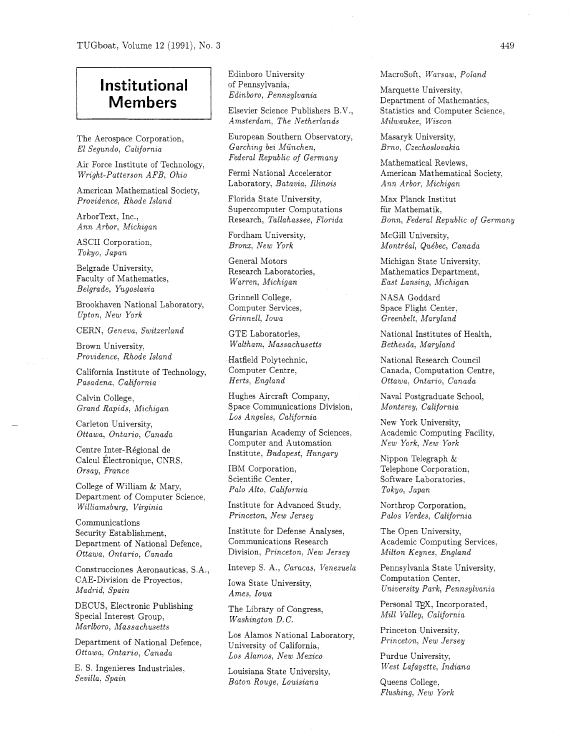## **Institutional Members**

The Aerospace Corporation, El Segundo, California

Air Force Institute of Technology, Wright-Patterson AFB, Ohio Fermi National Accelerator

American Mathematical Society, Providence, Rhode Island Florida State University,

Ann Arbor, Michigan

Tokyo, Japan

Belgrade University, Faculty of Mathematics, Belgrade, Yugoslavia

Brookhaven National Laboratory, Upton, New York

CERN, Geneva, Switzerland GTE Laboratories,

Brown University, The Multham, Massachusetts Bethesda, Maryland Providence, Rhode Island Hatfield Polytechnic,

California Institute of Technology, Pasadena, California

Calvin College, Grand Rapids, Michigan

Carleton University,

Calcul Electronique, CNRS, Orsay, France

Palo Alto, California College of William & Mary,  $Palo Alto, California$ Department of Computer Science, Williamsburg, Virginia Institute for Advanced Study,

Communications Security Establishment, Department of National Defence, Ottawa, Ontario, Canada

CAE-Division de Proyectos, Madrid, Spain

DECUS, Electronic Publishing Special Interest Group, Marlboro, Massachusetts

Department of National Defence,

Sevilla, Spain

Edinboro University of Pennsylvania, Edinboro, Pennsylvania

Elsevier Science Publishers B.V., Amsterdam, The Netherlands

European Southern Observatory, Garching bei München, Federal Republic of Germany

Laboratory, Batavia, Illinois

Supercomputer Computations Research, Tallahassee, Florida

Fordham University, Bronx, New York

General Motors Research Laboratories, Warren, Michigan

Grinnell College, Computer Services, Grinnell, Iowa

Computer Centre, Herts, England

Hughes Aircraft Company, Space Communications Division, Los Angeles, California

Ottawa, Ontario, Canada Hungarian Academy of Sciences, Computer and Automation Centre Inter-Régional de Institute, Budapest, Hungary

> IBM Corporation, Scientific Center,

Princeton, New Jersey

Institute for Defense Analyses, Communications Research Division, Princeton, New Jersey

Construcciones Aeronauticas, S.A., Intevep S. A., Caracas, Venezuela

Ames, Iowa

The Library of Congress,<br>
Mill Valley, California Washington D. C.

Los Alamos National Laboratory,<br>
Princeton, New Jersey University of California, Ottawa, Ontario, Canada  $\qquad \qquad \qquad Loss\ \textit{Alamos},\ \textit{New\text{ Mexico}}$  Purdue University,

> Louisiana State University, Baton Rouge, Louisiana Queens College,

Macrosoft, Warsaw, Poland

Marquette University, Department of Mathematics, Statistics and Computer Science, Milwaukee, Wiscon

Masaryk University, Brno, Czechoslovakia

Mathematical Reviews, American Mathematical Society, Ann Arbor, Michigan

Max Planck Institut fiir Mathematik, ArborText, Inc.,<br>Research, Tallahassee, Florida Bonn, Federal Republic of Germany

McGill University, ASCII Corporation, *Bronx*, *New York Montréal*, *Québec*, *Canada Asci* 

> Michigan State University, Mathematics Department, East Lansing, Michigan

NASA Goddard Space Flight Center, Greenbelt, Maryland

National Institutes of Health,

National Research Council Canada, Computation Centre, Ottawa, Ontario, Canada

Naval Postgraduate School, Monterey, California

New York University, Academic Computing Facility, New York, New York

Nippon Telegraph & Telephone Corporation, Software Laboratories, Tokyo, Japan

Northrop Corporation, Pales Verdes, California

The Open University, Academic Computing Services, Milton Keynes, England

Pennsylvania State University, Computation Center, Iowa State University,<br>
University Park, Pennsylvania

Personal TEX, Incorporated,

Princeton University,

E. S. Ingenieres Industriales,  $L_{\text{ouising }S}$  State University West Lafayette, Indiana

Flushing, New York